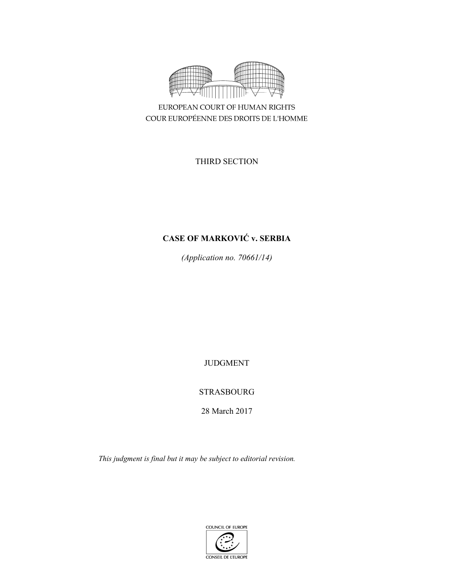

EUROPEAN COURT OF HUMAN RIGHTS COUR EUROPÉENNE DES DROITS DE L'HOMME

THIRD SECTION

# **CASE OF MARKOVIĆ v. SERBIA**

*(Application no. 70661/14)* 

JUDGMENT

STRASBOURG

28 March 2017

*This judgment is final but it may be subject to editorial revision.* 

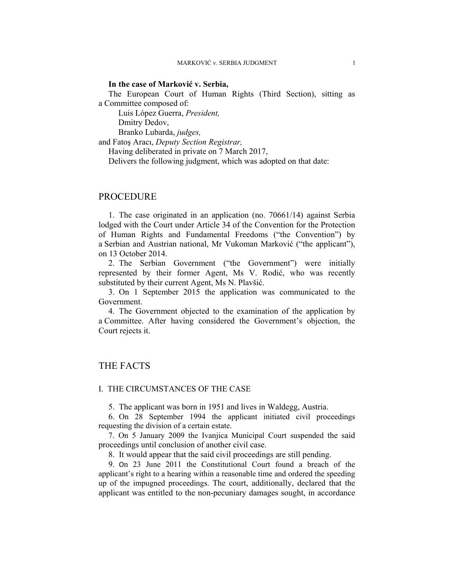### **In the case of Marković v. Serbia,**

The European Court of Human Rights (Third Section), sitting as a Committee composed of:

 Luis López Guerra, *President,*  Dmitry Dedov,

Branko Lubarda, *judges,*

and Fatoş Aracı, *Deputy Section Registrar,*

Having deliberated in private on 7 March 2017,

Delivers the following judgment, which was adopted on that date:

# PROCEDURE

1. The case originated in an application (no. 70661/14) against Serbia lodged with the Court under Article 34 of the Convention for the Protection of Human Rights and Fundamental Freedoms ("the Convention") by a Serbian and Austrian national, Mr Vukoman Marković ("the applicant"), on 13 October 2014.

2. The Serbian Government ("the Government") were initially represented by their former Agent, Ms V. Rodić, who was recently substituted by their current Agent, Ms N. Plavšić.

3. On 1 September 2015 the application was communicated to the Government.

4. The Government objected to the examination of the application by a Committee. After having considered the Government's objection, the Court rejects it.

# THE FACTS

### I. THE CIRCUMSTANCES OF THE CASE

5. The applicant was born in 1951 and lives in Waldegg, Austria.

6. On 28 September 1994 the applicant initiated civil proceedings requesting the division of a certain estate.

7. On 5 January 2009 the Ivanjica Municipal Court suspended the said proceedings until conclusion of another civil case.

8. It would appear that the said civil proceedings are still pending.

9. On 23 June 2011 the Constitutional Court found a breach of the applicant's right to a hearing within a reasonable time and ordered the speeding up of the impugned proceedings. The court, additionally, declared that the applicant was entitled to the non-pecuniary damages sought, in accordance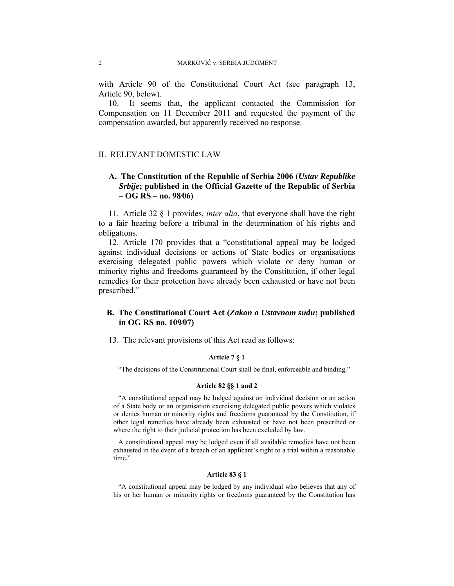with Article 90 of the Constitutional Court Act (see paragraph 13, Article 90, below).

10. It seems that, the applicant contacted the Commission for Compensation on 11 December 2011 and requested the payment of the compensation awarded, but apparently received no response.

## II. RELEVANT DOMESTIC LAW

# **A. The Constitution of the Republic of Serbia 2006 (***Ustav Republike Srbije***; published in the Official Gazette of the Republic of Serbia – OG RS – no. 98∕06)**

11. Article 32 § 1 provides, *inter alia*, that everyone shall have the right to a fair hearing before a tribunal in the determination of his rights and obligations.

12. Article 170 provides that a "constitutional appeal may be lodged against individual decisions or actions of State bodies or organisations exercising delegated public powers which violate or deny human or minority rights and freedoms guaranteed by the Constitution, if other legal remedies for their protection have already been exhausted or have not been prescribed."

# **B. The Constitutional Court Act (***Zakon o Ustavnom sudu***; published in OG RS no. 109∕07)**

13. The relevant provisions of this Act read as follows:

### **Article 7 § 1**

"The decisions of the Constitutional Court shall be final, enforceable and binding."

### **Article 82 §§ 1 and 2**

"A constitutional appeal may be lodged against an individual decision or an action of a State body or an organisation exercising delegated public powers which violates or denies human or minority rights and freedoms guaranteed by the Constitution, if other legal remedies have already been exhausted or have not been prescribed or where the right to their judicial protection has been excluded by law.

A constitutional appeal may be lodged even if all available remedies have not been exhausted in the event of a breach of an applicant's right to a trial within a reasonable time."

### **Article 83 § 1**

"A constitutional appeal may be lodged by any individual who believes that any of his or her human or minority rights or freedoms guaranteed by the Constitution has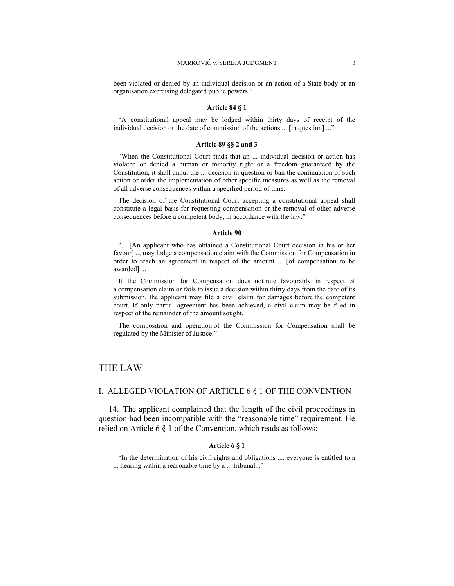been violated or denied by an individual decision or an action of a State body or an organisation exercising delegated public powers."

#### **Article 84 § 1**

"A constitutional appeal may be lodged within thirty days of receipt of the individual decision or the date of commission of the actions ... [in question] ..."

#### **Article 89 §§ 2 and 3**

"When the Constitutional Court finds that an ... individual decision or action has violated or denied a human or minority right or a freedom guaranteed by the Constitution, it shall annul the ... decision in question or ban the continuation of such action or order the implementation of other specific measures as well as the removal of all adverse consequences within a specified period of time.

The decision of the Constitutional Court accepting a constitutional appeal shall constitute a legal basis for requesting compensation or the removal of other adverse consequences before a competent body, in accordance with the law."

#### **Article 90**

"... [An applicant who has obtained a Constitutional Court decision in his or her favour] .., may lodge a compensation claim with the Commission for Compensation in order to reach an agreement in respect of the amount ... [of compensation to be awarded] ...

If the Commission for Compensation does not rule favourably in respect of a compensation claim or fails to issue a decision within thirty days from the date of its submission, the applicant may file a civil claim for damages before the competent court. If only partial agreement has been achieved, a civil claim may be filed in respect of the remainder of the amount sought.

The composition and operation of the Commission for Compensation shall be regulated by the Minister of Justice."

# THE LAW

## I. ALLEGED VIOLATION OF ARTICLE 6 § 1 OF THE CONVENTION

14. The applicant complained that the length of the civil proceedings in question had been incompatible with the "reasonable time" requirement. He relied on Article 6 § 1 of the Convention, which reads as follows:

### **Article 6 § 1**

"In the determination of his civil rights and obligations ..., everyone is entitled to a ... hearing within a reasonable time by a ... tribunal..."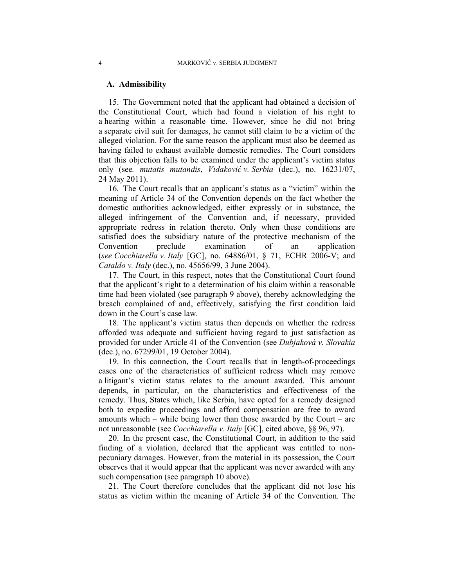### **A. Admissibility**

15. The Government noted that the applicant had obtained a decision of the Constitutional Court, which had found a violation of his right to a hearing within a reasonable time. However, since he did not bring a separate civil suit for damages, he cannot still claim to be a victim of the alleged violation. For the same reason the applicant must also be deemed as having failed to exhaust available domestic remedies. The Court considers that this objection falls to be examined under the applicant's victim status only (see*. mutatis mutandis*, *Vidaković v. Serbia* (dec.), no. 16231/07, 24 May 2011).

16. The Court recalls that an applicant's status as a "victim" within the meaning of Article 34 of the Convention depends on the fact whether the domestic authorities acknowledged, either expressly or in substance, the alleged infringement of the Convention and, if necessary, provided appropriate redress in relation thereto. Only when these conditions are satisfied does the subsidiary nature of the protective mechanism of the Convention preclude examination of an application (*see Cocchiarella v. Italy* [GC], no. 64886/01, § 71, ECHR 2006-V; and *Cataldo v. Italy* (dec.), no. 45656/99, 3 June 2004).

17. The Court, in this respect, notes that the Constitutional Court found that the applicant's right to a determination of his claim within a reasonable time had been violated (see paragraph 9 above), thereby acknowledging the breach complained of and, effectively, satisfying the first condition laid down in the Court's case law.

18. The applicant's victim status then depends on whether the redress afforded was adequate and sufficient having regard to just satisfaction as provided for under Article 41 of the Convention (see *Dubjaková v. Slovakia* (dec.), no. 67299/01, 19 October 2004).

19. In this connection, the Court recalls that in length-of-proceedings cases one of the characteristics of sufficient redress which may remove a litigant's victim status relates to the amount awarded. This amount depends, in particular, on the characteristics and effectiveness of the remedy. Thus, States which, like Serbia, have opted for a remedy designed both to expedite proceedings and afford compensation are free to award amounts which – while being lower than those awarded by the Court – are not unreasonable (see *Cocchiarella v. Italy* [GC], cited above, §§ 96, 97).

20. In the present case, the Constitutional Court, in addition to the said finding of a violation, declared that the applicant was entitled to nonpecuniary damages. However, from the material in its possession, the Court observes that it would appear that the applicant was never awarded with any such compensation (see paragraph 10 above).

21. The Court therefore concludes that the applicant did not lose his status as victim within the meaning of Article 34 of the Convention. The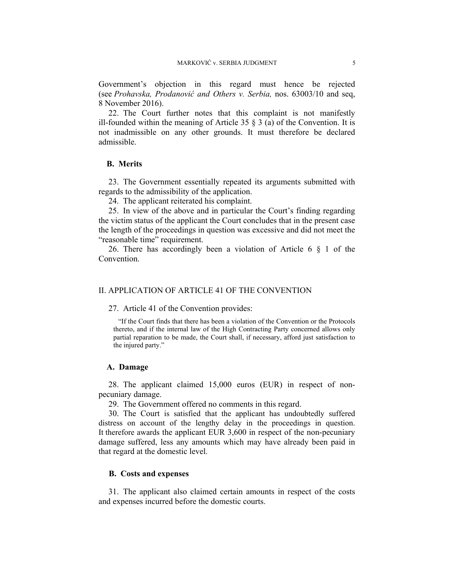Government's objection in this regard must hence be rejected (see *Prohavska, Prodanović and Others v. Serbia,* nos. 63003/10 and seq, 8 November 2016).

22. The Court further notes that this complaint is not manifestly ill-founded within the meaning of Article 35  $\S$  3 (a) of the Convention. It is not inadmissible on any other grounds. It must therefore be declared admissible.

# **B. Merits**

23. The Government essentially repeated its arguments submitted with regards to the admissibility of the application.

24. The applicant reiterated his complaint.

25. In view of the above and in particular the Court's finding regarding the victim status of the applicant the Court concludes that in the present case the length of the proceedings in question was excessive and did not meet the "reasonable time" requirement.

26. There has accordingly been a violation of Article  $6 \tS 1$  of the Convention.

# II. APPLICATION OF ARTICLE 41 OF THE CONVENTION

27. Article 41 of the Convention provides:

"If the Court finds that there has been a violation of the Convention or the Protocols thereto, and if the internal law of the High Contracting Party concerned allows only partial reparation to be made, the Court shall, if necessary, afford just satisfaction to the injured party."

#### **A. Damage**

28. The applicant claimed 15,000 euros (EUR) in respect of nonpecuniary damage.

29. The Government offered no comments in this regard.

30. The Court is satisfied that the applicant has undoubtedly suffered distress on account of the lengthy delay in the proceedings in question. It therefore awards the applicant EUR 3,600 in respect of the non-pecuniary damage suffered, less any amounts which may have already been paid in that regard at the domestic level.

### **B. Costs and expenses**

31. The applicant also claimed certain amounts in respect of the costs and expenses incurred before the domestic courts.